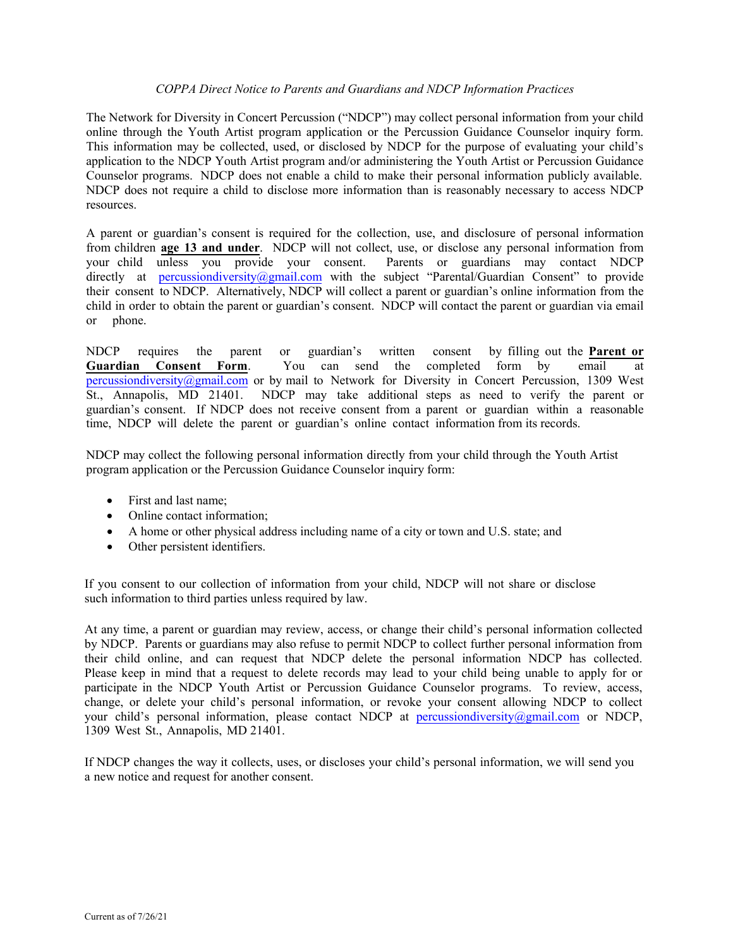## *COPPA Direct Notice to Parents and Guardians and NDCP Information Practices*

The Network for Diversity in Concert Percussion ("NDCP") may collect personal information from your child online through the Youth Artist program application or the Percussion Guidance Counselor inquiry form. This information may be collected, used, or disclosed by NDCP for the purpose of evaluating your child's application to the NDCP Youth Artist program and/or administering the Youth Artist or Percussion Guidance Counselor programs. NDCP does not enable a child to make their personal information publicly available. NDCP does not require a child to disclose more information than is reasonably necessary to access NDCP resources.

A parent or guardian's consent is required for the collection, use, and disclosure of personal information from children **age 13 and under**. NDCP will not collect, use, or disclose any personal information from your child unless you provide your consent. Parents or guardians may contact NDCP directly at [percussiondiversity](mailto:percussiondiversity@gmail.com)@gmail.com with the subject "Parental/Guardian Consent" to provide their consent to NDCP. Alternatively, NDCP will collect a parent or guardian's online information from the child in order to obtain the parent or guardian's consent. NDCP will contact the parent or guardian via email or phone.

NDCP requires the parent or guardian's written consent by filling out the **Parent or Guardian Consent Form**. You can send the completed form by email at [percussiondiversity@gmail.com](mailto:percussiondiversity@gmail.com) or by mail to Network for Diversity in Concert Percussion, 1309 West St., Annapolis, MD 21401. NDCP may take additional steps as need to verify the parent or guardian's consent. If NDCP does not receive consent from a parent or guardian within a reasonable time, NDCP will delete the parent or guardian's online contact information from its records.

NDCP may collect the following personal information directly from your child through the Youth Artist program application or the Percussion Guidance Counselor inquiry form:

- First and last name:
- Online contact information:
- A home or other physical address including name of a city or town and U.S. state; and
- Other persistent identifiers.

If you consent to our collection of information from your child, NDCP will not share or disclose such information to third parties unless required by law.

At any time, a parent or guardian may review, access, or change their child's personal information collected by NDCP. Parents or guardians may also refuse to permit NDCP to collect further personal information from their child online, and can request that NDCP delete the personal information NDCP has collected. Please keep in mind that a request to delete records may lead to your child being unable to apply for or participate in the NDCP Youth Artist or Percussion Guidance Counselor programs. To review, access, change, or delete your child's personal information, or revoke your consent allowing NDCP to collect your child's personal information, please contact NDCP at [percussiondiversity@gmail.com](mailto:percussiondiversity@gmail.com) or NDCP, 1309 West St., Annapolis, MD 21401.

If NDCP changes the way it collects, uses, or discloses your child's personal information, we will send you a new notice and request for another consent.